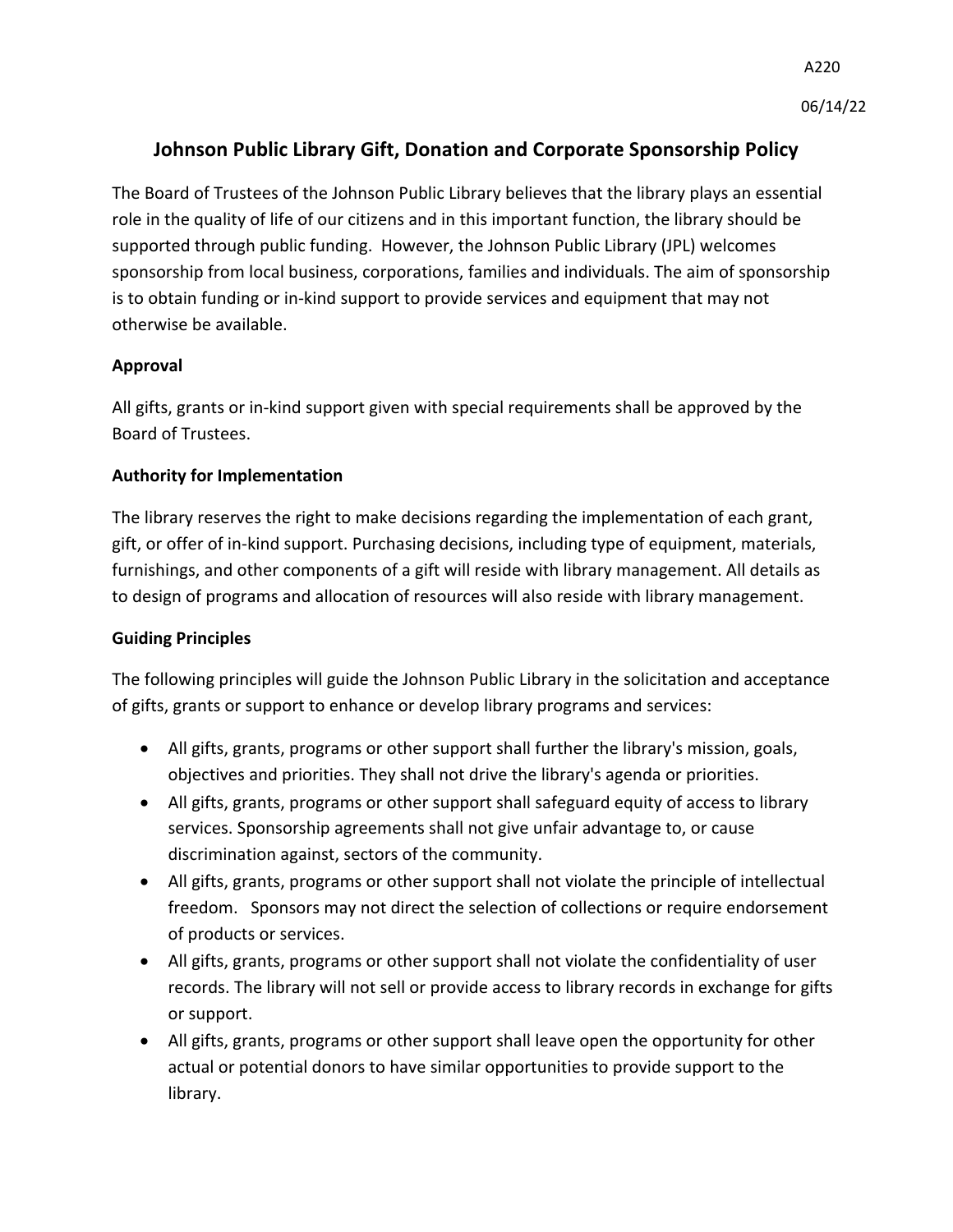# **Johnson Public Library Gift, Donation and Corporate Sponsorship Policy**

The Board of Trustees of the Johnson Public Library believes that the library plays an essential role in the quality of life of our citizens and in this important function, the library should be supported through public funding. However, the Johnson Public Library (JPL) welcomes sponsorship from local business, corporations, families and individuals. The aim of sponsorship is to obtain funding or in-kind support to provide services and equipment that may not otherwise be available.

# **Approval**

All gifts, grants or in-kind support given with special requirements shall be approved by the Board of Trustees.

# **Authority for Implementation**

The library reserves the right to make decisions regarding the implementation of each grant, gift, or offer of in-kind support. Purchasing decisions, including type of equipment, materials, furnishings, and other components of a gift will reside with library management. All details as to design of programs and allocation of resources will also reside with library management.

## **Guiding Principles**

The following principles will guide the Johnson Public Library in the solicitation and acceptance of gifts, grants or support to enhance or develop library programs and services:

- All gifts, grants, programs or other support shall further the library's mission, goals, objectives and priorities. They shall not drive the library's agenda or priorities.
- All gifts, grants, programs or other support shall safeguard equity of access to library services. Sponsorship agreements shall not give unfair advantage to, or cause discrimination against, sectors of the community.
- All gifts, grants, programs or other support shall not violate the principle of intellectual freedom. Sponsors may not direct the selection of collections or require endorsement of products or services.
- All gifts, grants, programs or other support shall not violate the confidentiality of user records. The library will not sell or provide access to library records in exchange for gifts or support.
- All gifts, grants, programs or other support shall leave open the opportunity for other actual or potential donors to have similar opportunities to provide support to the library.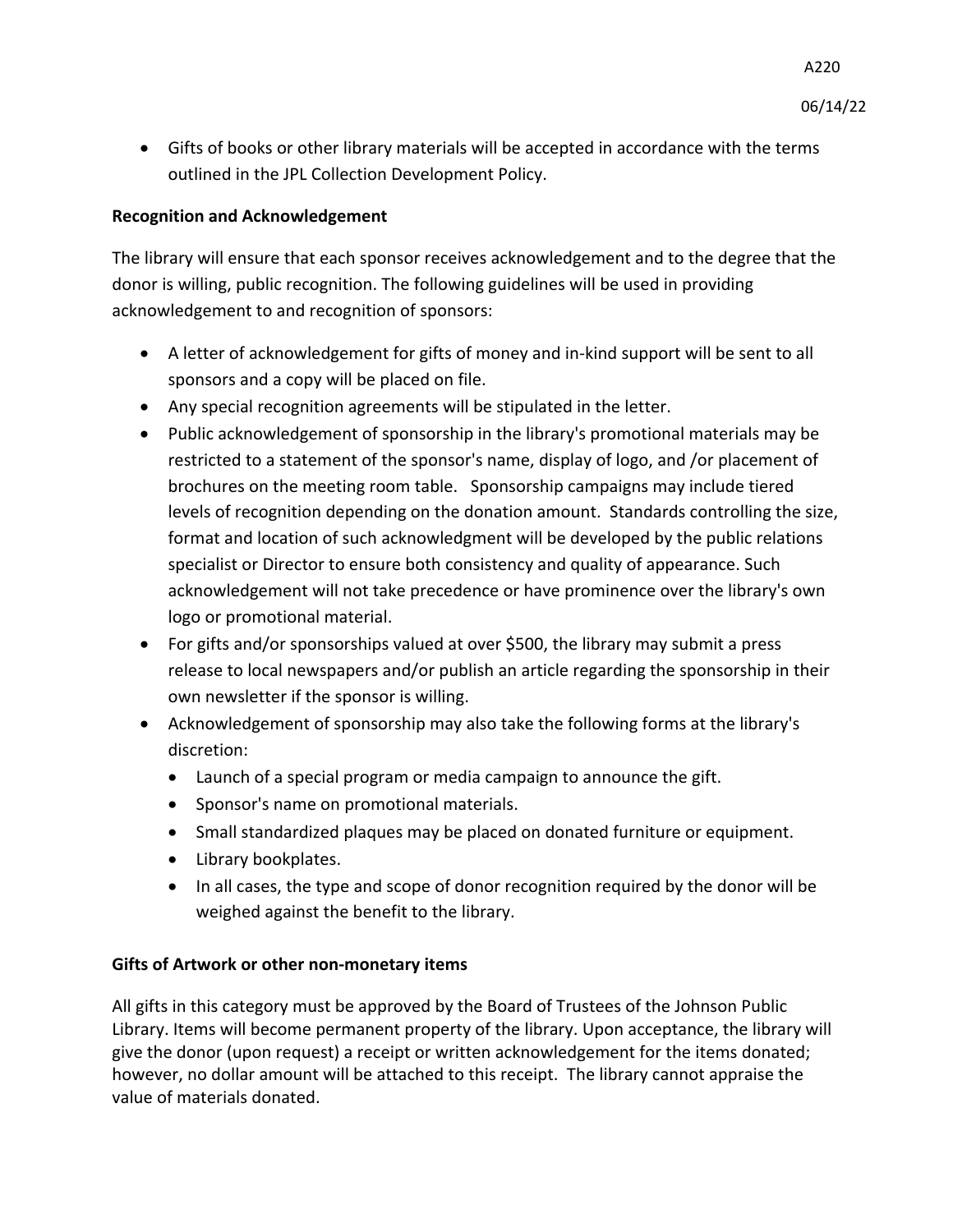• Gifts of books or other library materials will be accepted in accordance with the terms outlined in the JPL Collection Development Policy.

### **Recognition and Acknowledgement**

The library will ensure that each sponsor receives acknowledgement and to the degree that the donor is willing, public recognition. The following guidelines will be used in providing acknowledgement to and recognition of sponsors:

- A letter of acknowledgement for gifts of money and in-kind support will be sent to all sponsors and a copy will be placed on file.
- Any special recognition agreements will be stipulated in the letter.
- Public acknowledgement of sponsorship in the library's promotional materials may be restricted to a statement of the sponsor's name, display of logo, and /or placement of brochures on the meeting room table. Sponsorship campaigns may include tiered levels of recognition depending on the donation amount. Standards controlling the size, format and location of such acknowledgment will be developed by the public relations specialist or Director to ensure both consistency and quality of appearance. Such acknowledgement will not take precedence or have prominence over the library's own logo or promotional material.
- For gifts and/or sponsorships valued at over \$500, the library may submit a press release to local newspapers and/or publish an article regarding the sponsorship in their own newsletter if the sponsor is willing.
- Acknowledgement of sponsorship may also take the following forms at the library's discretion:
	- Launch of a special program or media campaign to announce the gift.
	- Sponsor's name on promotional materials.
	- Small standardized plaques may be placed on donated furniture or equipment.
	- Library bookplates.
	- In all cases, the type and scope of donor recognition required by the donor will be weighed against the benefit to the library.

#### **Gifts of Artwork or other non-monetary items**

All gifts in this category must be approved by the Board of Trustees of the Johnson Public Library. Items will become permanent property of the library. Upon acceptance, the library will give the donor (upon request) a receipt or written acknowledgement for the items donated; however, no dollar amount will be attached to this receipt. The library cannot appraise the value of materials donated.